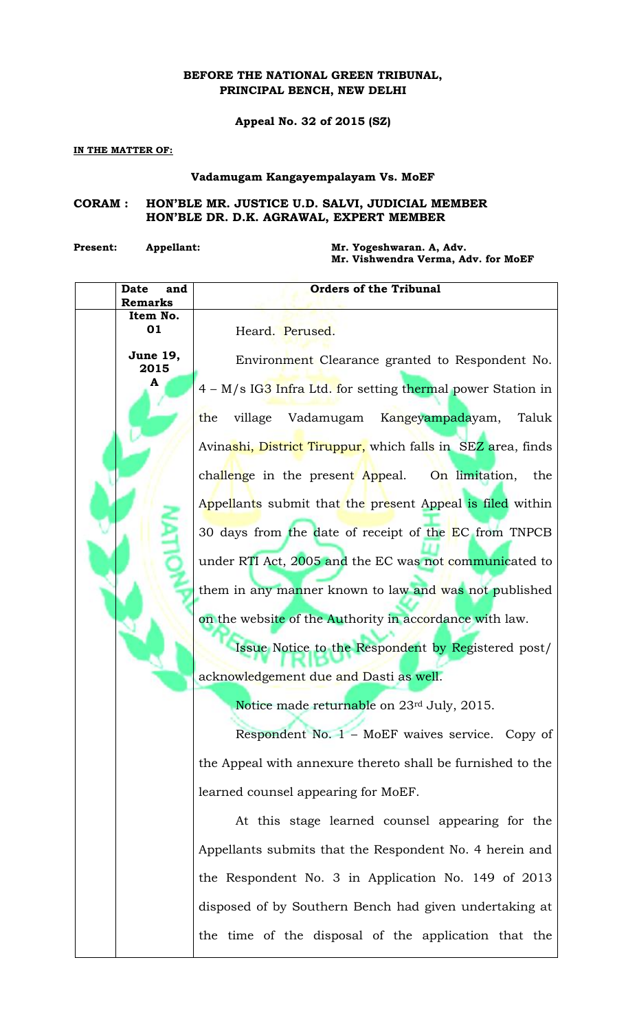## **BEFORE THE NATIONAL GREEN TRIBUNAL, PRINCIPAL BENCH, NEW DELHI**

**Appeal No. 32 of 2015 (SZ)**

## **IN THE MATTER OF:**

## **Vadamugam Kangayempalayam Vs. MoEF**

## **CORAM : HON'BLE MR. JUSTICE U.D. SALVI, JUDICIAL MEMBER HON'BLE DR. D.K. AGRAWAL, EXPERT MEMBER**

**Present: Appellant: Mr. Yogeshwaran. A, Adv.**

**Mr. Vishwendra Verma, Adv. for MoEF**

| Date<br>and<br><b>Remarks</b> | <b>Orders of the Tribunal</b>                               |
|-------------------------------|-------------------------------------------------------------|
| Item No.                      |                                                             |
| 01                            | Heard. Perused.                                             |
| <b>June 19,</b><br>2015       | Environment Clearance granted to Respondent No.             |
| A                             | 4 – M/s IG3 Infra Ltd. for setting thermal power Station in |
|                               | village Vadamugam Kangeyampadayam,<br>the<br>Taluk          |
|                               | Avinashi, District Tiruppur, which falls in SEZ area, finds |
|                               | challenge in the present Appeal. On limitation,<br>the      |
|                               | Appellants submit that the present Appeal is filed within   |
|                               | 30 days from the date of receipt of the EC from TNPCB       |
|                               | under RTI Act, 2005 and the EC was not communicated to      |
|                               | them in any manner known to law and was not published       |
|                               | on the website of the Authority in accordance with law.     |
|                               | Issue Notice to the Respondent by Registered post/          |
|                               | acknowledgement due and Dasti as well.                      |
|                               | Notice made returnable on 23rd July, 2015.                  |
|                               | Respondent No. 1 - MoEF waives service. Copy of             |
|                               | the Appeal with annexure thereto shall be furnished to the  |
|                               | learned counsel appearing for MoEF.                         |
|                               | At this stage learned counsel appearing for the             |
|                               | Appellants submits that the Respondent No. 4 herein and     |
|                               | the Respondent No. 3 in Application No. 149 of 2013         |
|                               | disposed of by Southern Bench had given undertaking at      |
|                               | the time of the disposal of the application that the        |